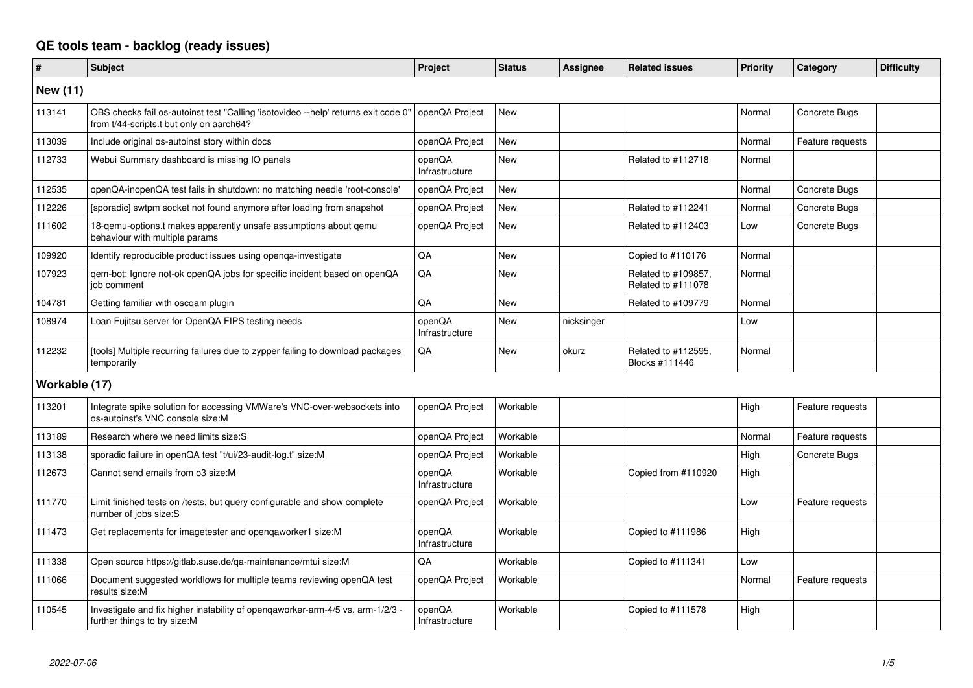## **QE tools team - backlog (ready issues)**

| #               | <b>Subject</b>                                                                                                                 | Project                  | <b>Status</b> | <b>Assignee</b> | <b>Related issues</b>                     | Priority | Category         | <b>Difficulty</b> |
|-----------------|--------------------------------------------------------------------------------------------------------------------------------|--------------------------|---------------|-----------------|-------------------------------------------|----------|------------------|-------------------|
| <b>New (11)</b> |                                                                                                                                |                          |               |                 |                                           |          |                  |                   |
| 113141          | OBS checks fail os-autoinst test "Calling 'isotovideo --help' returns exit code 0"<br>from t/44-scripts.t but only on aarch64? | openQA Project           | New           |                 |                                           | Normal   | Concrete Bugs    |                   |
| 113039          | Include original os-autoinst story within docs                                                                                 | openQA Project           | <b>New</b>    |                 |                                           | Normal   | Feature requests |                   |
| 112733          | Webui Summary dashboard is missing IO panels                                                                                   | openQA<br>Infrastructure | <b>New</b>    |                 | Related to #112718                        | Normal   |                  |                   |
| 112535          | openQA-inopenQA test fails in shutdown: no matching needle 'root-console'                                                      | openQA Project           | New           |                 |                                           | Normal   | Concrete Bugs    |                   |
| 112226          | [sporadic] swtpm socket not found anymore after loading from snapshot                                                          | openQA Project           | New           |                 | Related to #112241                        | Normal   | Concrete Bugs    |                   |
| 111602          | 18-gemu-options.t makes apparently unsafe assumptions about gemu<br>behaviour with multiple params                             | openQA Project           | New           |                 | Related to #112403                        | Low      | Concrete Bugs    |                   |
| 109920          | Identify reproducible product issues using openga-investigate                                                                  | QA                       | <b>New</b>    |                 | Copied to #110176                         | Normal   |                  |                   |
| 107923          | qem-bot: Ignore not-ok openQA jobs for specific incident based on openQA<br>job comment                                        | QA                       | <b>New</b>    |                 | Related to #109857,<br>Related to #111078 | Normal   |                  |                   |
| 104781          | Getting familiar with oscqam plugin                                                                                            | QA                       | <b>New</b>    |                 | Related to #109779                        | Normal   |                  |                   |
| 108974          | Loan Fujitsu server for OpenQA FIPS testing needs                                                                              | openQA<br>Infrastructure | <b>New</b>    | nicksinger      |                                           | Low      |                  |                   |
| 112232          | [tools] Multiple recurring failures due to zypper failing to download packages<br>temporarily                                  | QA                       | New           | okurz           | Related to #112595,<br>Blocks #111446     | Normal   |                  |                   |
| Workable (17)   |                                                                                                                                |                          |               |                 |                                           |          |                  |                   |
| 113201          | Integrate spike solution for accessing VMWare's VNC-over-websockets into<br>os-autoinst's VNC console size:M                   | openQA Project           | Workable      |                 |                                           | High     | Feature requests |                   |
| 113189          | Research where we need limits size:S                                                                                           | openQA Project           | Workable      |                 |                                           | Normal   | Feature requests |                   |
| 113138          | sporadic failure in openQA test "t/ui/23-audit-log.t" size:M                                                                   | openQA Project           | Workable      |                 |                                           | High     | Concrete Bugs    |                   |
| 112673          | Cannot send emails from o3 size:M                                                                                              | openQA<br>Infrastructure | Workable      |                 | Copied from #110920                       | High     |                  |                   |
| 111770          | Limit finished tests on /tests, but query configurable and show complete<br>number of jobs size:S                              | openQA Project           | Workable      |                 |                                           | Low      | Feature requests |                   |
| 111473          | Get replacements for imagetester and openqaworker1 size:M                                                                      | openQA<br>Infrastructure | Workable      |                 | Copied to #111986                         | High     |                  |                   |
| 111338          | Open source https://gitlab.suse.de/ga-maintenance/mtui size:M                                                                  | QA                       | Workable      |                 | Copied to #111341                         | Low      |                  |                   |
| 111066          | Document suggested workflows for multiple teams reviewing openQA test<br>results size:M                                        | openQA Project           | Workable      |                 |                                           | Normal   | Feature requests |                   |
| 110545          | Investigate and fix higher instability of opengaworker-arm-4/5 vs. arm-1/2/3 -<br>further things to try size:M                 | openQA<br>Infrastructure | Workable      |                 | Copied to #111578                         | High     |                  |                   |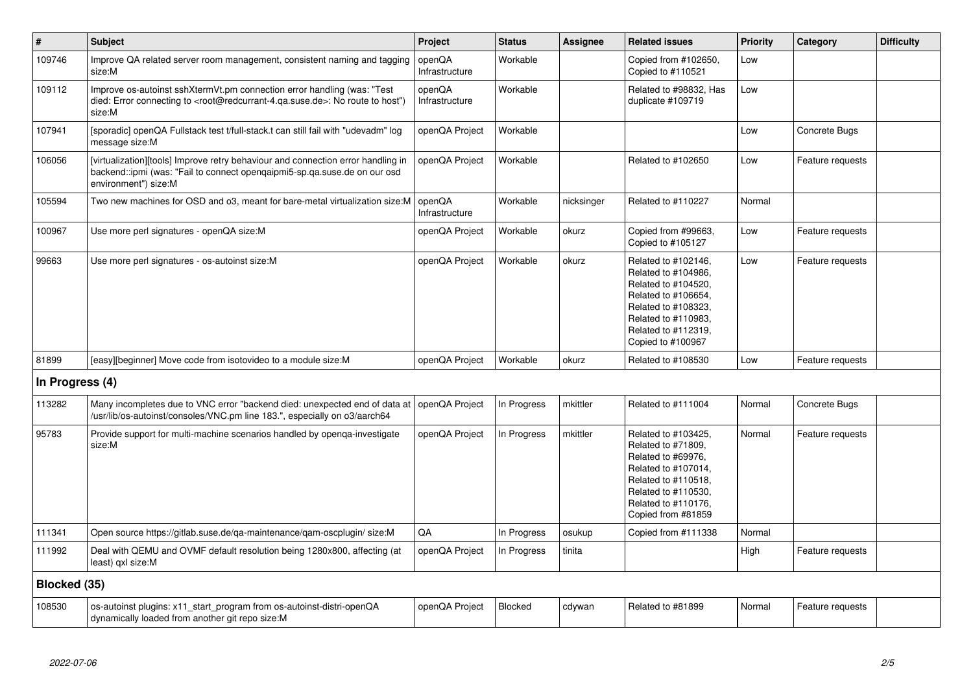| $\pmb{\sharp}$  | <b>Subject</b>                                                                                                                                                                                    | Project                  | <b>Status</b> | Assignee   | <b>Related issues</b>                                                                                                                                                              | <b>Priority</b> | Category         | <b>Difficulty</b> |
|-----------------|---------------------------------------------------------------------------------------------------------------------------------------------------------------------------------------------------|--------------------------|---------------|------------|------------------------------------------------------------------------------------------------------------------------------------------------------------------------------------|-----------------|------------------|-------------------|
| 109746          | Improve QA related server room management, consistent naming and tagging<br>size:M                                                                                                                | openQA<br>Infrastructure | Workable      |            | Copied from #102650,<br>Copied to #110521                                                                                                                                          | Low             |                  |                   |
| 109112          | Improve os-autoinst sshXtermVt.pm connection error handling (was: "Test<br>died: Error connecting to <root@redcurrant-4.ga.suse.de>: No route to host")<br/>size:M</root@redcurrant-4.ga.suse.de> | openQA<br>Infrastructure | Workable      |            | Related to #98832, Has<br>duplicate #109719                                                                                                                                        | Low             |                  |                   |
| 107941          | [sporadic] openQA Fullstack test t/full-stack.t can still fail with "udevadm" log<br>message size:M                                                                                               | openQA Project           | Workable      |            |                                                                                                                                                                                    | Low             | Concrete Bugs    |                   |
| 106056          | [virtualization][tools] Improve retry behaviour and connection error handling in<br>backend::ipmi (was: "Fail to connect opengaipmi5-sp.qa.suse.de on our osd<br>environment") size:M             | openQA Project           | Workable      |            | Related to #102650                                                                                                                                                                 | Low             | Feature requests |                   |
| 105594          | Two new machines for OSD and 03, meant for bare-metal virtualization size: M                                                                                                                      | openQA<br>Infrastructure | Workable      | nicksinger | Related to #110227                                                                                                                                                                 | Normal          |                  |                   |
| 100967          | Use more perl signatures - openQA size:M                                                                                                                                                          | openQA Project           | Workable      | okurz      | Copied from #99663,<br>Copied to #105127                                                                                                                                           | Low             | Feature requests |                   |
| 99663           | Use more perl signatures - os-autoinst size: M                                                                                                                                                    | openQA Project           | Workable      | okurz      | Related to #102146,<br>Related to #104986.<br>Related to #104520,<br>Related to #106654,<br>Related to #108323,<br>Related to #110983,<br>Related to #112319,<br>Copied to #100967 | Low             | Feature requests |                   |
| 81899           | [easy][beginner] Move code from isotovideo to a module size:M                                                                                                                                     | openQA Project           | Workable      | okurz      | Related to #108530                                                                                                                                                                 | Low             | Feature requests |                   |
| In Progress (4) |                                                                                                                                                                                                   |                          |               |            |                                                                                                                                                                                    |                 |                  |                   |
| 113282          | Many incompletes due to VNC error "backend died: unexpected end of data at<br>/usr/lib/os-autoinst/consoles/VNC.pm line 183.", especially on o3/aarch64                                           | openQA Project           | In Progress   | mkittler   | Related to #111004                                                                                                                                                                 | Normal          | Concrete Bugs    |                   |
| 95783           | Provide support for multi-machine scenarios handled by openga-investigate<br>size:M                                                                                                               | openQA Project           | In Progress   | mkittler   | Related to #103425,<br>Related to #71809,<br>Related to #69976.<br>Related to #107014,<br>Related to #110518,<br>Related to #110530,<br>Related to #110176,<br>Copied from #81859  | Normal          | Feature requests |                   |
| 111341          | Open source https://gitlab.suse.de/qa-maintenance/qam-oscplugin/size:M                                                                                                                            | QA                       | In Progress   | osukup     | Copied from #111338                                                                                                                                                                | Normal          |                  |                   |
| 111992          | Deal with QEMU and OVMF default resolution being 1280x800, affecting (at<br>least) qxl size:M                                                                                                     | openQA Project           | In Progress   | tinita     |                                                                                                                                                                                    | High            | Feature requests |                   |
| Blocked (35)    |                                                                                                                                                                                                   |                          |               |            |                                                                                                                                                                                    |                 |                  |                   |
| 108530          | os-autoinst plugins: x11_start_program from os-autoinst-distri-openQA<br>dynamically loaded from another git repo size:M                                                                          | openQA Project           | Blocked       | cdywan     | Related to #81899                                                                                                                                                                  | Normal          | Feature requests |                   |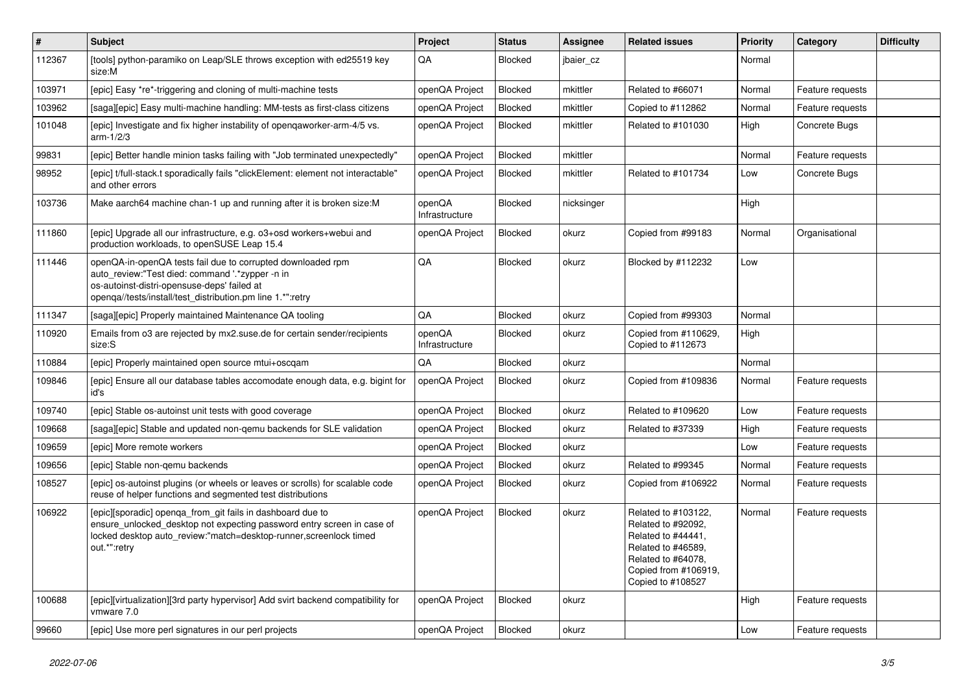| $\vert$ # | Subject                                                                                                                                                                                                                     | Project                  | <b>Status</b>  | <b>Assignee</b> | <b>Related issues</b>                                                                                                                                    | Priority | Category         | <b>Difficulty</b> |
|-----------|-----------------------------------------------------------------------------------------------------------------------------------------------------------------------------------------------------------------------------|--------------------------|----------------|-----------------|----------------------------------------------------------------------------------------------------------------------------------------------------------|----------|------------------|-------------------|
| 112367    | [tools] python-paramiko on Leap/SLE throws exception with ed25519 key<br>size:M                                                                                                                                             | QA                       | Blocked        | jbaier_cz       |                                                                                                                                                          | Normal   |                  |                   |
| 103971    | [epic] Easy *re*-triggering and cloning of multi-machine tests                                                                                                                                                              | openQA Project           | Blocked        | mkittler        | Related to #66071                                                                                                                                        | Normal   | Feature requests |                   |
| 103962    | [saga][epic] Easy multi-machine handling: MM-tests as first-class citizens                                                                                                                                                  | openQA Project           | <b>Blocked</b> | mkittler        | Copied to #112862                                                                                                                                        | Normal   | Feature requests |                   |
| 101048    | [epic] Investigate and fix higher instability of openqaworker-arm-4/5 vs.<br>$arm-1/2/3$                                                                                                                                    | openQA Project           | Blocked        | mkittler        | Related to #101030                                                                                                                                       | High     | Concrete Bugs    |                   |
| 99831     | [epic] Better handle minion tasks failing with "Job terminated unexpectedly"                                                                                                                                                | openQA Project           | Blocked        | mkittler        |                                                                                                                                                          | Normal   | Feature requests |                   |
| 98952     | [epic] t/full-stack.t sporadically fails "clickElement: element not interactable"<br>and other errors                                                                                                                       | openQA Project           | Blocked        | mkittler        | Related to #101734                                                                                                                                       | Low      | Concrete Bugs    |                   |
| 103736    | Make aarch64 machine chan-1 up and running after it is broken size:M                                                                                                                                                        | openQA<br>Infrastructure | Blocked        | nicksinger      |                                                                                                                                                          | High     |                  |                   |
| 111860    | [epic] Upgrade all our infrastructure, e.g. o3+osd workers+webui and<br>production workloads, to openSUSE Leap 15.4                                                                                                         | openQA Project           | Blocked        | okurz           | Copied from #99183                                                                                                                                       | Normal   | Organisational   |                   |
| 111446    | openQA-in-openQA tests fail due to corrupted downloaded rpm<br>auto_review:"Test died: command '.*zypper -n in<br>os-autoinst-distri-opensuse-deps' failed at<br>openqa//tests/install/test_distribution.pm line 1.*":retry | QA                       | Blocked        | okurz           | Blocked by #112232                                                                                                                                       | Low      |                  |                   |
| 111347    | [saga][epic] Properly maintained Maintenance QA tooling                                                                                                                                                                     | QA                       | Blocked        | okurz           | Copied from #99303                                                                                                                                       | Normal   |                  |                   |
| 110920    | Emails from o3 are rejected by mx2.suse.de for certain sender/recipients<br>size:S                                                                                                                                          | openQA<br>Infrastructure | Blocked        | okurz           | Copied from #110629,<br>Copied to #112673                                                                                                                | High     |                  |                   |
| 110884    | [epic] Properly maintained open source mtui+oscqam                                                                                                                                                                          | QA                       | Blocked        | okurz           |                                                                                                                                                          | Normal   |                  |                   |
| 109846    | [epic] Ensure all our database tables accomodate enough data, e.g. bigint for<br>id's                                                                                                                                       | openQA Project           | Blocked        | okurz           | Copied from #109836                                                                                                                                      | Normal   | Feature requests |                   |
| 109740    | [epic] Stable os-autoinst unit tests with good coverage                                                                                                                                                                     | openQA Project           | Blocked        | okurz           | Related to #109620                                                                                                                                       | Low      | Feature requests |                   |
| 109668    | [saga][epic] Stable and updated non-gemu backends for SLE validation                                                                                                                                                        | openQA Project           | Blocked        | okurz           | Related to #37339                                                                                                                                        | High     | Feature requests |                   |
| 109659    | [epic] More remote workers                                                                                                                                                                                                  | openQA Project           | Blocked        | okurz           |                                                                                                                                                          | Low      | Feature requests |                   |
| 109656    | [epic] Stable non-gemu backends                                                                                                                                                                                             | openQA Project           | Blocked        | okurz           | Related to #99345                                                                                                                                        | Normal   | Feature requests |                   |
| 108527    | [epic] os-autoinst plugins (or wheels or leaves or scrolls) for scalable code<br>reuse of helper functions and segmented test distributions                                                                                 | openQA Project           | Blocked        | okurz           | Copied from #106922                                                                                                                                      | Normal   | Feature requests |                   |
| 106922    | [epic][sporadic] openqa_from_git fails in dashboard due to<br>ensure_unlocked_desktop not expecting password entry screen in case of<br>locked desktop auto_review:"match=desktop-runner,screenlock timed<br>out.*":retry   | openQA Project           | Blocked        | okurz           | Related to #103122,<br>Related to #92092,<br>Related to #44441,<br>Related to #46589,<br>Related to #64078.<br>Copied from #106919,<br>Copied to #108527 | Normal   | Feature requests |                   |
| 100688    | [epic][virtualization][3rd party hypervisor] Add svirt backend compatibility for<br>vmware 7.0                                                                                                                              | openQA Project           | Blocked        | okurz           |                                                                                                                                                          | High     | Feature requests |                   |
| 99660     | [epic] Use more perl signatures in our perl projects                                                                                                                                                                        | openQA Project           | Blocked        | okurz           |                                                                                                                                                          | Low      | Feature requests |                   |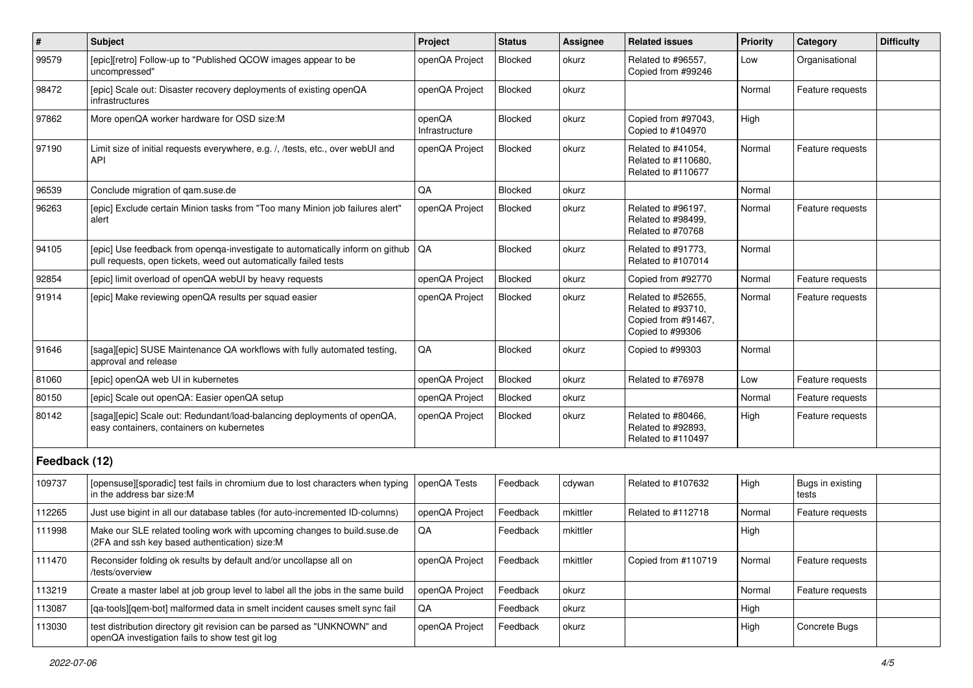| $\vert$ #     | Subject                                                                                                                                                | Project                  | <b>Status</b> | <b>Assignee</b> | <b>Related issues</b>                                                               | Priority | Category                  | <b>Difficulty</b> |
|---------------|--------------------------------------------------------------------------------------------------------------------------------------------------------|--------------------------|---------------|-----------------|-------------------------------------------------------------------------------------|----------|---------------------------|-------------------|
| 99579         | [epic][retro] Follow-up to "Published QCOW images appear to be<br>uncompressed"                                                                        | openQA Project           | Blocked       | okurz           | Related to #96557,<br>Copied from #99246                                            | Low      | Organisational            |                   |
| 98472         | [epic] Scale out: Disaster recovery deployments of existing openQA<br>infrastructures                                                                  | openQA Project           | Blocked       | okurz           |                                                                                     | Normal   | Feature requests          |                   |
| 97862         | More openQA worker hardware for OSD size:M                                                                                                             | openQA<br>Infrastructure | Blocked       | okurz           | Copied from #97043,<br>Copied to #104970                                            | High     |                           |                   |
| 97190         | Limit size of initial requests everywhere, e.g. /, /tests, etc., over webUI and<br>API                                                                 | openQA Project           | Blocked       | okurz           | Related to #41054,<br>Related to #110680.<br>Related to #110677                     | Normal   | Feature requests          |                   |
| 96539         | Conclude migration of qam.suse.de                                                                                                                      | QA                       | Blocked       | okurz           |                                                                                     | Normal   |                           |                   |
| 96263         | [epic] Exclude certain Minion tasks from "Too many Minion job failures alert"<br>alert                                                                 | openQA Project           | Blocked       | okurz           | Related to #96197,<br>Related to #98499,<br>Related to #70768                       | Normal   | Feature requests          |                   |
| 94105         | [epic] Use feedback from openga-investigate to automatically inform on github   QA<br>pull requests, open tickets, weed out automatically failed tests |                          | Blocked       | okurz           | Related to #91773,<br>Related to #107014                                            | Normal   |                           |                   |
| 92854         | [epic] limit overload of openQA webUI by heavy requests                                                                                                | openQA Project           | Blocked       | okurz           | Copied from #92770                                                                  | Normal   | Feature requests          |                   |
| 91914         | [epic] Make reviewing openQA results per squad easier                                                                                                  | openQA Project           | Blocked       | okurz           | Related to #52655,<br>Related to #93710,<br>Copied from #91467,<br>Copied to #99306 | Normal   | Feature requests          |                   |
| 91646         | [saga][epic] SUSE Maintenance QA workflows with fully automated testing,<br>approval and release                                                       | QA                       | Blocked       | okurz           | Copied to #99303                                                                    | Normal   |                           |                   |
| 81060         | [epic] openQA web UI in kubernetes                                                                                                                     | openQA Project           | Blocked       | okurz           | Related to #76978                                                                   | Low      | Feature requests          |                   |
| 80150         | [epic] Scale out openQA: Easier openQA setup                                                                                                           | openQA Project           | Blocked       | okurz           |                                                                                     | Normal   | Feature requests          |                   |
| 80142         | [saga][epic] Scale out: Redundant/load-balancing deployments of openQA,<br>easy containers, containers on kubernetes                                   | openQA Project           | Blocked       | okurz           | Related to #80466,<br>Related to #92893,<br>Related to #110497                      | High     | Feature requests          |                   |
| Feedback (12) |                                                                                                                                                        |                          |               |                 |                                                                                     |          |                           |                   |
| 109737        | [opensuse][sporadic] test fails in chromium due to lost characters when typing<br>in the address bar size:M                                            | openQA Tests             | Feedback      | cdywan          | Related to #107632                                                                  | High     | Bugs in existing<br>tests |                   |
| 112265        | Just use bigint in all our database tables (for auto-incremented ID-columns)                                                                           | openQA Project           | Feedback      | mkittler        | Related to #112718                                                                  | Normal   | Feature requests          |                   |
| 111998        | Make our SLE related tooling work with upcoming changes to build.suse.de<br>(2FA and ssh key based authentication) size:M                              | QA                       | Feedback      | mkittler        |                                                                                     | High     |                           |                   |
| 111470        | Reconsider folding ok results by default and/or uncollapse all on<br>/tests/overview                                                                   | openQA Project           | Feedback      | mkittler        | Copied from #110719                                                                 | Normal   | Feature requests          |                   |
| 113219        | Create a master label at job group level to label all the jobs in the same build                                                                       | openQA Project           | Feedback      | okurz           |                                                                                     | Normal   | Feature requests          |                   |
| 113087        | [qa-tools][qem-bot] malformed data in smelt incident causes smelt sync fail                                                                            | QA                       | Feedback      | okurz           |                                                                                     | High     |                           |                   |
| 113030        | test distribution directory git revision can be parsed as "UNKNOWN" and<br>openQA investigation fails to show test git log                             | openQA Project           | Feedback      | okurz           |                                                                                     | High     | Concrete Bugs             |                   |